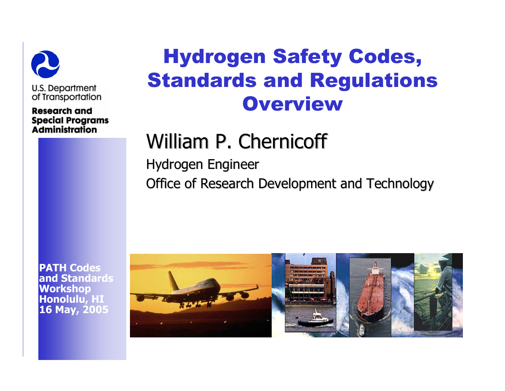

**Research and Special Programs Administration** 

## Hydrogen Safety Codes, Standards and Regulations **Overview**

# William P. Chernicoff

Hydrogen Engineer Office of Research Development and Technology

**PATH Codes and StandardsWorkshop Honolulu, HI 16 May, 2005**

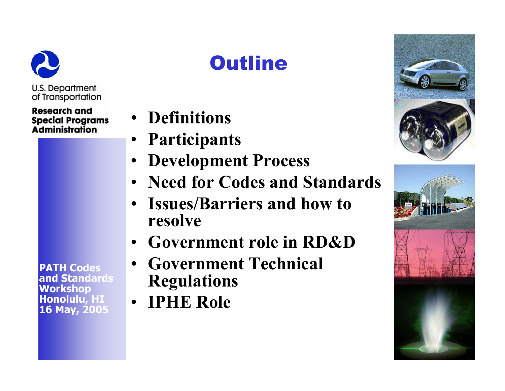

#### **Research and Special Programs Administration**

**PATH Codes and Standards Workshop Honolulu, HI 16 May, 2005**

# **Outline**

- **Definitions**
- **Participants**
- •**Development Process**
- **Need for Codes and Standards**
- **Issues/Barriers and how to resolve**
- •**Government role in RD&D**
- • **Government Technical Regulations**
- **IPHE Role**



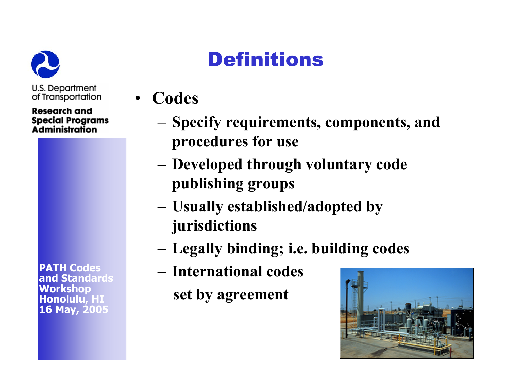

**Research and Special Programs Administration** 

**PATH Codes and StandardsWorkshop Honolulu, HI 16 May, 2005**

# **Definitions**

- **Codes** 
	- – **Specify requirements, components, and procedures for use**
	- – **Developed through voluntary code publishing groups**
	- – **Usually established/adopted by jurisdictions**
	- –**Legally binding; i.e. building codes**
	- **International codes set by agreement**

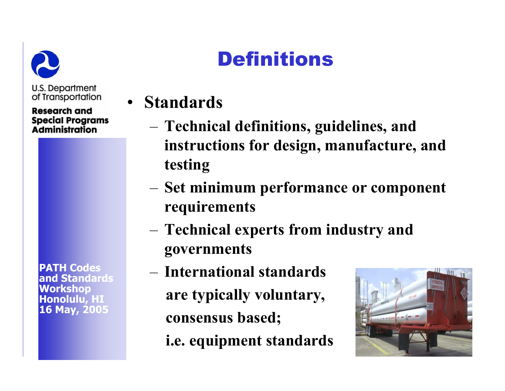

**Research and Special Programs Administration** 

**PATH Codes and StandardsWorkshop Honolulu, HI 16 May, 2005**

# **Definitions**

- **Standards**
	- **Technical definitions, guidelines, and instructions for design, manufacture, and testing**
	- **Set minimum performance or component requirements**
	- **Technical experts from industry and governments**
	- **International standards are typically voluntary, consensus based; i.e. equipment standards**

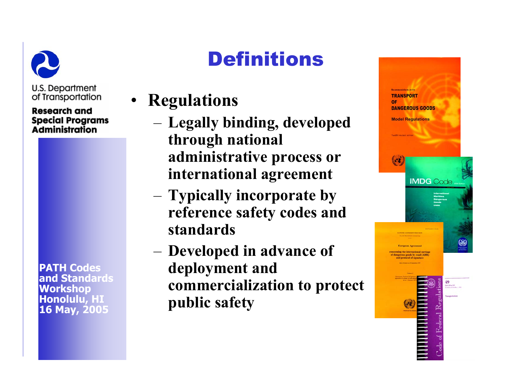

#### **Research and Special Programs** Administration

**PATH Codes and Standards Workshop Honolulu, HI 16 May, 2005**

# **Definitions**

- **Regulations**
	- **Legally binding, developed through national administrative process or international agreement**
	- **Typically incorporate by reference safety codes and standards**
	- **Developed in advance of deployment and commercialization to protect public safety**

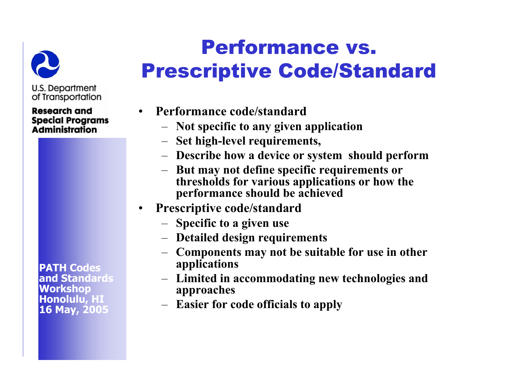

**Research and Special Programs Administration** 

**PATH Codes and Standards Workshop Honolulu, HI 16 May, 2005**

# Performance vs. Prescriptive Code/Standard

- **Performance code/standard** 
	- **Not specific to any given application**
	- **Set high-level requirements,**
	- **Describe how a device or system should perform**
	- **But may not define specific requirements or thresholds for various applications or how the performance should be achieved**
- • **Prescriptive code/standard**
	- **Specific to a given use**
	- **Detailed design requirements**
	- **Components may not be suitable for use in other applications**
	- **Limited in accommodating new technologies and approaches**
	- **Easier for code officials to apply**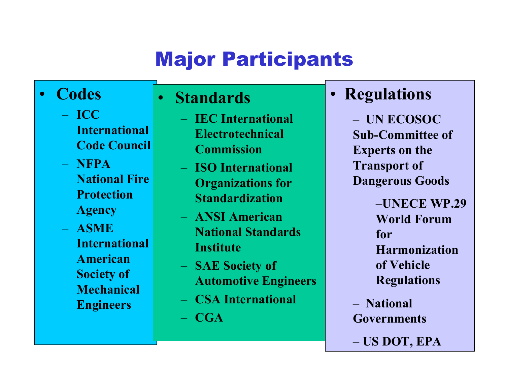# Major Participants

#### •**Codes**

- **ICC International Code Council**
- **NFPA National Fire Protection Agency**
- **ASME International American Society of Mechanical Engineers**

#### **Standards**

 $\bullet$ 

- $-$  **IEC International Electrotechnical Commission**
- **ISO International Organizations for Standardization**
- **ANSI American National Standards Institute**
- $\overline{\phantom{0}}$  **SAE Society of Automotive Engineers**
- **CSA International**
- **CGA**

#### •**Regulations**

– **UN ECOSOC Sub-Committee of Experts on the Transport of Dangerous Goods**

> –**UNECE WP.29 World Forum for Harmonization of Vehicle Regulation s**

– **National Governments** 

– **US DOT, EPA**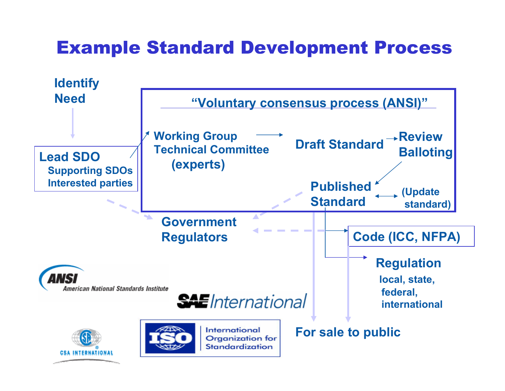#### Example Standard Development Process

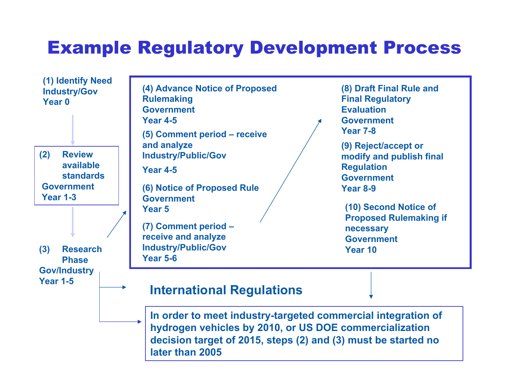#### Example Regulatory Development Process

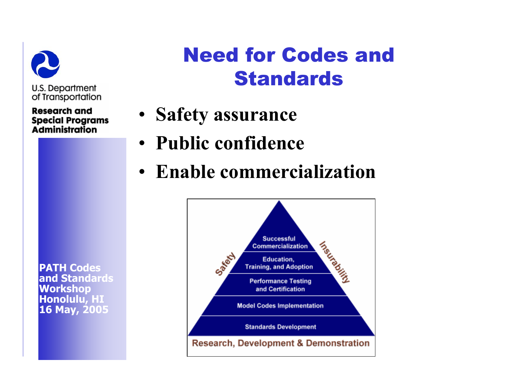

**Research and Special Programs Administration** 

## Need for Codes and **Standards**

- **Safety assurance**
- **Public confidence**
- **Enable commercialization**



**PATH Codes and StandardsWorkshop Honolulu, HI 16 May, 2005**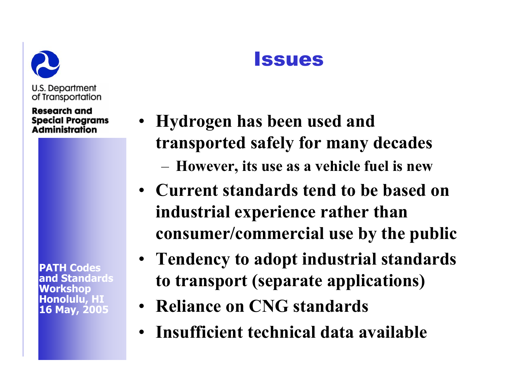

Research and **Special Programs Administration** 

**PATH Codes and StandardsWorkshop Honolulu, HI 16 May, 2005**

- **Hydrogen has been used and transported safely for many decades** –**However, its use as a vehicle fuel is new**
- **Current standards tend to be based on industrial experience rather than consumer/commercial use by the public**
- **Tendency to adopt industrial standards to transport (separate applications)**
- **Reliance on CNG standards**
- **Insufficient technical data available**

### **Issues**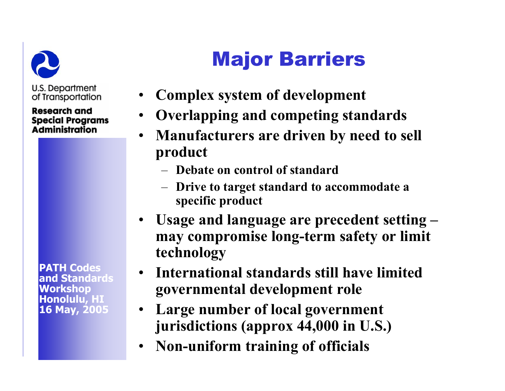

**Research and Special Programs Administration** 

**PATH Codes and StandardsWorkshop Honolulu, HI 16 May, 2005**

# Major Barriers

- •**Complex system of development**
- •**Overlapping and competing standards**
- **Manufacturers are driven by need to sell product**
	- **Debate on control of standard**
	- – **Drive to target standard to accommodate a specific product**
- **Usage and language are precedent setting – may compromise long-term safety or limit technology**
- **International standards still have limited governmental development role**
- **Large number of local government jurisdictions (approx 44,000 in U.S.)**
- •**Non-uniform training of officials**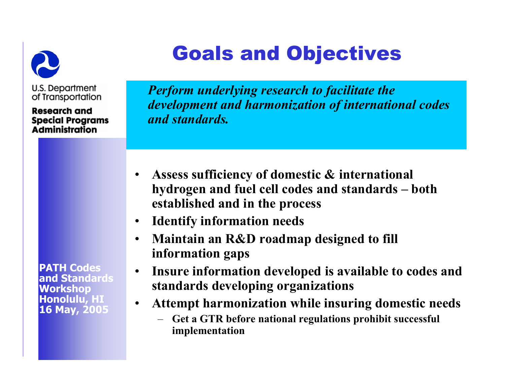

Goals and Objectives

U.S. Department of Transportation

**Research and Special Programs Administration** 

*Perform underlying research to facilitate the development and harmonization of international codes and standards.*

- $\bullet$  **Assess sufficiency of domestic & international hydrogen and fuel cell codes and standards – both established and in the process**
- $\bullet$ **Identify information needs**
- • **Maintain an R&D roadmap designed to fill information gaps**
- $\bullet$  **Insure information developed is available to codes and standards developing organizations**
- $\bullet$  **Attempt harmonization while insuring domestic needs**
	- **Get a GTR before national regulations prohibit successful implementation**

**PATH Codes and Standards Workshop Honolulu, HI 16 May, 2005**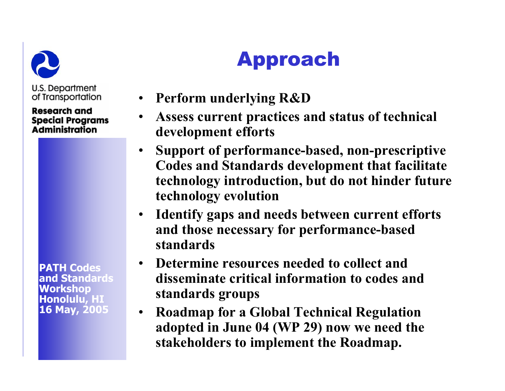

#### **Research and Special Programs Administration**

**PATH Codes and Standards Workshop Honolulu, HI 16 May, 2005**

# Approach

- **Perform underlying R&D**
- • **Assess current practices and status of technical development efforts**
- • **Support of performance-based, non-prescriptive Codes and Standards development that facilitate technology introduction, but do not hinder future technology evolution**
- **Identify gaps and needs between current efforts and those necessary for performance-based standards**
- **Determine resources needed to collect and disseminate critical information to codes and standards groups**
- $\bullet$  **Roadmap for a Global Technical Regulation adopted in June 04 (WP 29) now we need the stakeholders to implement the Roadmap.**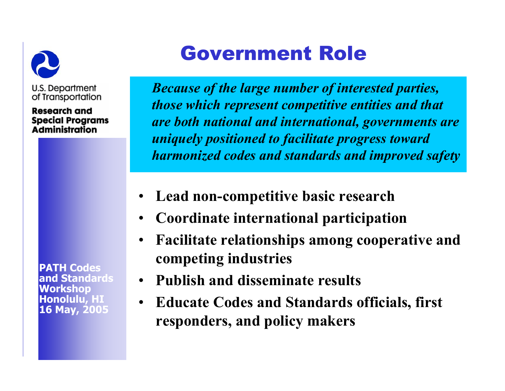

**Research and Special Programs Administration** 

**PATH Codes and StandardsWorkshop Honolulu, HI 16 May, 2005**

## Government Role

*Because of the large number of interested parties, those which represent competitive entities and that are both national and international, governments are uniquely positioned to facilitate progress toward harmonized codes and standards and improved safety*

- •**Lead non-competitive basic research**
- **Coordinate international participation**
- • **Facilitate relationships among cooperative and competing industries**
- •**Publish and disseminate results**
- • **Educate Codes and Standards officials, first responders, and policy makers**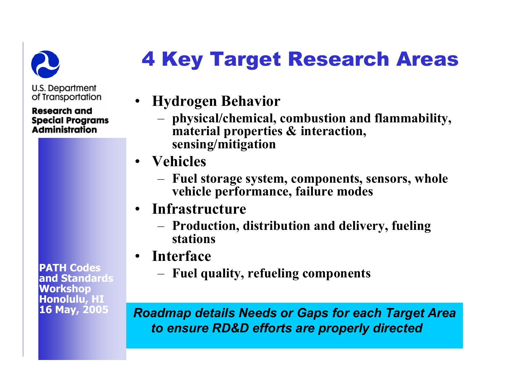

#### **Research and Special Programs Administration**

**PATH Codes and Standards Workshop Honolulu, HI 16 May, 2005**

# 4 Key Target Research Areas

- **Hydrogen Behavior**
	- – **physical/chemical, combustion and flammability, material properties & interaction, sensing/mitigation**
- **Vehicles** 
	- – **Fuel storage system, components, sensors, whole vehicle performance, failure modes**
- **Infrastructure**
	- – **Production, distribution and delivery, fueling stations**
- **Interface**
	- –**Fuel quality, refueling components**

*Roadmap details Needs or Gaps for each Target Area to ensure RD&D efforts are properly directed*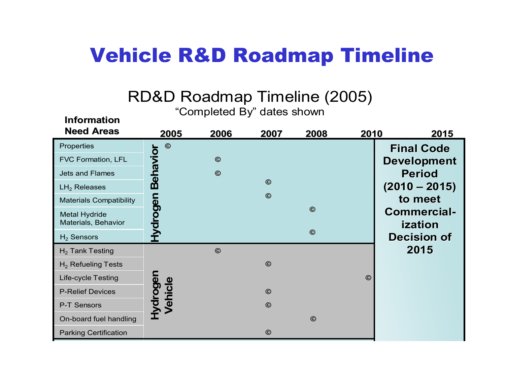### Vehicle R&D Roadmap Timeline

#### R D & D R oad m ap Ti m eline (2005)

"Com pleted B y " d a t e s s how n

**Inf ormation**

| <b>Need Areas</b>                           | 2005                | 2006    | 2007    | 2008    | 2010    | 2015                          |
|---------------------------------------------|---------------------|---------|---------|---------|---------|-------------------------------|
| Properties                                  | $\odot$             |         |         |         |         | <b>Final Code</b>             |
| FVC Formation, LFL                          |                     | $\odot$ |         |         |         | <b>Development</b>            |
| <b>Jets and Flames</b>                      | Behavior            | $\odot$ |         |         |         | <b>Period</b>                 |
| $LH2$ Releases                              |                     |         | $\odot$ |         |         | $(2010 - 2015)$               |
| <b>Materials Compatibility</b>              |                     |         | $\odot$ |         |         | to meet                       |
| <b>Metal Hydride</b><br>Materials, Behavior | <b>Hydrogen</b>     |         |         | $\odot$ |         | <b>Commercial-</b><br>ization |
| $H_2$ Sensors                               |                     |         |         | $\odot$ |         | <b>Decision of</b>            |
| $H2$ Tank Testing                           |                     | $\odot$ |         |         |         | 2015                          |
| $H_2$ Refueling Tests                       |                     |         | $\odot$ |         |         |                               |
| <b>Life-cycle Testing</b>                   |                     |         |         |         | $\odot$ |                               |
| <b>P-Relief Devices</b>                     |                     |         | $\odot$ |         |         |                               |
| P-T Sensors                                 | Hydrogen<br>Vehicle |         | $\odot$ |         |         |                               |
| On-board fuel handling                      |                     |         |         | $\odot$ |         |                               |
| <b>Parking Certification</b>                |                     |         | $\odot$ |         |         |                               |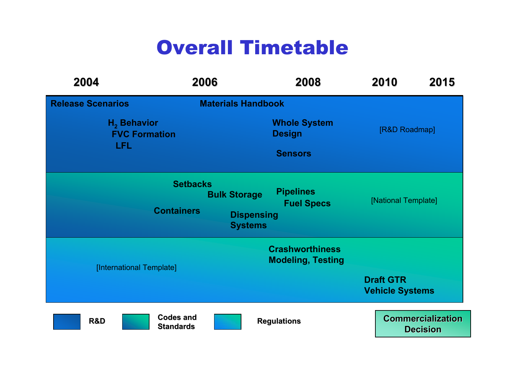### Overall Timetable

| 2004                                                | 2006                                 |                                                            | 2008                                               | 2010             | 2015                                        |  |  |
|-----------------------------------------------------|--------------------------------------|------------------------------------------------------------|----------------------------------------------------|------------------|---------------------------------------------|--|--|
| <b>Release Scenarios</b>                            |                                      | <b>Materials Handbook</b>                                  |                                                    |                  |                                             |  |  |
| $H2$ Behavior<br><b>FVC Formation</b><br><b>LFL</b> |                                      | <b>Whole System</b><br><b>Design</b><br><b>Sensors</b>     |                                                    |                  | [R&D Roadmap]                               |  |  |
|                                                     | <b>Setbacks</b><br><b>Containers</b> | <b>Bulk Storage</b><br><b>Dispensing</b><br><b>Systems</b> | <b>Pipelines</b><br><b>Fuel Specs</b>              |                  | [National Template]                         |  |  |
| [International Template]                            |                                      |                                                            | <b>Crashworthiness</b><br><b>Modeling, Testing</b> | <b>Draft GTR</b> | <b>Vehicle Systems</b>                      |  |  |
| R&D                                                 | <b>Codes and</b><br><b>Standards</b> |                                                            | <b>Regulations</b>                                 |                  | <b>Commercialization</b><br><b>Decision</b> |  |  |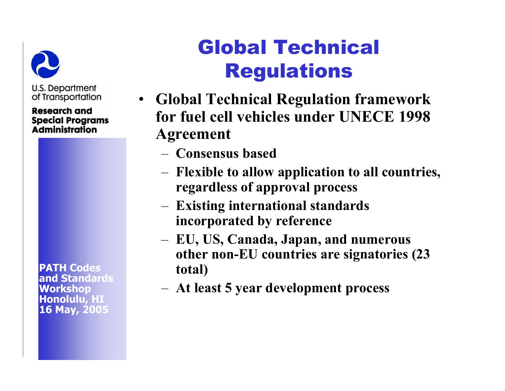

**Research and Special Programs Administration** 

**PATH Codes and StandardsWorkshop Honolulu, HI 16 May, 2005**

# Global Technical Regulations

- **Global Technical Regulation framework for fuel cell vehicles under UNECE 1998 Agreement**
	- **Consensus based**
	- **Flexible to allow application to all countries, regardless of approval process**
	- – **Existing international standards incorporated by reference**
	- **EU, US, Canada, Japan, and numerous other non-EU countries are signatories (23 total)**
	- **At least 5 year development process**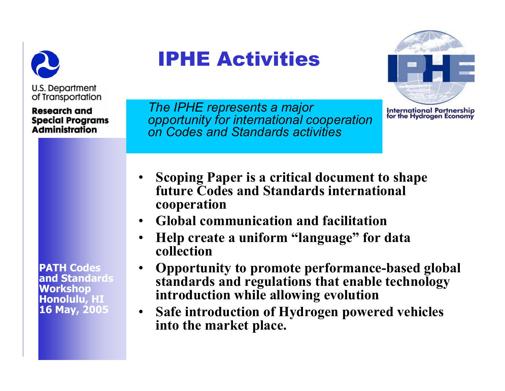

**Research and** 

**Special Programs Administration** 

IPHE Activities



International Partnership<br>for the Hydrogen Economy

*The IPHE represents a major opportunity for international cooperation on Codes and Standards activities*

- • **Scoping Paper is a critical document to shape future Codes and Standards international cooperation**
- •**Global communication and facilitation**
- • **Help create a uniform "language" for data collection**
- • **Opportunity to promote performance-based global standards and regulations that enable technology introduction while allowing evolution**
- $\bullet$  **Safe introduction of Hydrogen powered vehicles into the market place.**

**PATH Codes and Standards Workshop Honolulu, HI 16 May, 2005**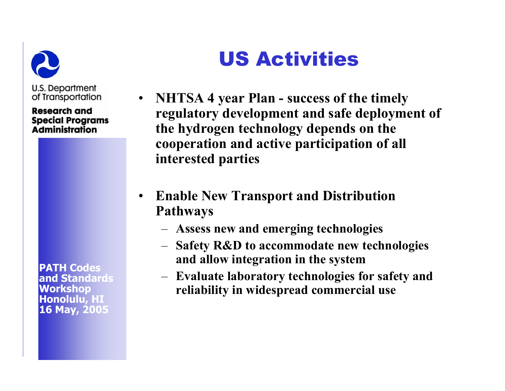

**Research and Special Programs Administration** 

**PATH Codes and StandardsWorkshop Honolulu, HI 16 May, 2005**

# US Activities

- **NHTSA 4 year Plan - success of the timely regulatory development and safe deployment of the hydrogen technology depends on the cooperation and active participation of all interested parties**
- • **Enable New Transport and Distribution Pathways**
	- **Assess new and emerging technologies**
	- **Safety R&D to accommodate new technologies and allow integration in the system**
	- **Evaluate laboratory technologies for safety and reliability in widespread commercial use**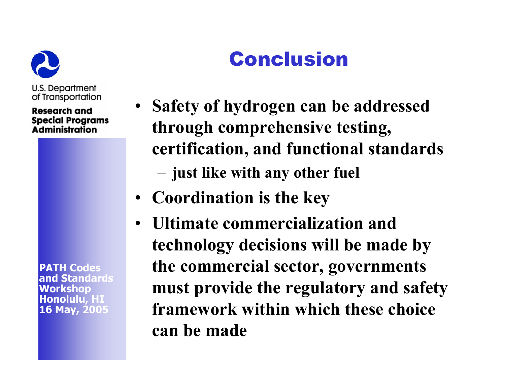

**Research and Special Programs Administration** 

**PATH Codes and StandardsWorkshop Honolulu, HI 16 May, 2005**

# Conclusion

- **Safety of hydrogen can be addressed through comprehensive testing, certification, and functional standards**  –**just like with any other fuel**
- **Coordination is the key**
- **Ultimate commercialization and technology decisions will be made by the commercial sector, governments must provide the regulatory and safety framework within which these choice can be made**